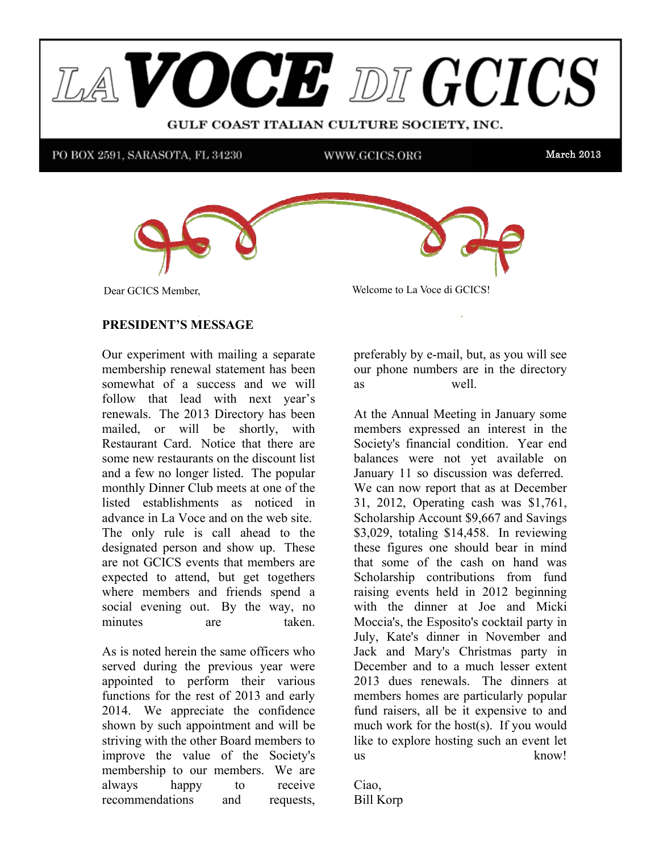



**Dear GCICS Member,** 

14 Dear GCICS Member, welcome to La Voce di GCICS!

#### PRESIDENT'S MESSAGE PRESIDENT'S MESSAGE

Our experiment with mailing a separate Sur experiment with maning a separate membership renewal statement has been somewhat of a success and we will  $t = \frac{1}{2}$  and Restaurant Discount Card by Feb 1, 2013. Secondly,  $\frac{1}{2}$ follow that lead with next year's renewals. The 2013 Directory has been some new restaurants on the discount list and a few no longer listed. The popular manthly Dinner Club masts at an a f that monthly Dinner Club meets at one of the  $t_{\text{min}}$  mother manner. In the will know  $\frac{1}{\sqrt{t}}$  is the will know  $\frac{1}{\sqrt{t}}$  is the manner. monthly Dinner Club meets at one of the<br>listed establishments as noticed in advance in La Voce and on the web site. The only rule is call ahead to the  $\overline{a}$ designated person and show up. These are not GCICS events that members are expected to diterm, our get regenters where members and friends spend a social evening out. By the way, no minutes are taken. mailed, or will be shortly, with mailed, or will be shortly, with Restaurant Card. Notice that there are Restaurant Card. Notice that there are designated person and show up. These expected to attend, but get togethers  $m_{\text{max}}$ 

As is noted herein the same officers who served during the previous year were Exponse to perform their various functions for the rest of 2013 and early  $\frac{1}{2044}$  We not the rest of 2013 and early 2014. We appreciate the confidence miprove the value of the society's<br>membership to our members. We are appointed to perform their various shown by such appointment and will be striving with the other Board members to improve the value of the Society's always happy to receive recommendations and requests, always happy to receive

preferably by e-mail, but, as you will see Pat Astore designed five variations of a proposed banner  $\frac{1}{2}$  with  $\frac{1}{2}$ preceding by e-mail, but, as you will see as well.

was a tie; Angela Del Vecchio Lerner and Tony Cagliostro

 $W(x) = \frac{1}{2} \sum_{i=1}^{n} \frac{1}{i} \sum_{j=1}^{n} \frac{1}{j} \sum_{j=1}^{n} \frac{1}{j} \sum_{j=1}^{n} \frac{1}{j} \sum_{j=1}^{n} \frac{1}{j} \sum_{j=1}^{n} \frac{1}{j} \sum_{j=1}^{n} \frac{1}{j} \sum_{j=1}^{n} \frac{1}{j} \sum_{j=1}^{n} \frac{1}{j} \sum_{j=1}^{n} \frac{1}{j} \sum_{j=1}^{n} \frac{1}{j} \sum_{j=1}^{n} \frac{1}{j} \sum_{j=$ At the Annual Meeting in January some At the Annuar Meeting in January some<br>members expressed an interest in the Society's financial condition. Year end balances were not yet available on We can now report that as at December me can now report that as at December  $\frac{1}{24}$  $31, 2012,$  Operating cash was \$1,761, Scholarship Account \$9,667 and Savings  $$3,029$ , totaling  $$14,458$ . In reviewing these figures one should bear in mind scholarship contributions from fund responsively contributions. The cash of the cash of the cash of the cash of the cash of the cash of the cash of the cash of the cash of the cash of the cash of the cash of the cash of the cash of the cash of the cash of th raising cyclus field in  $2012$  regiming with the dinner at Joe and Micki  $M_{\text{tot}}$ Moccia's, the Esposito's cocktail party in Friedrich Society in Society and July, Kate's dinner in November and Jack and Mary's Christmas party in 2013 dues renewals. The dinners at 2013 dues renewals. The dinners at members homes are particularly popular members nonce are particularly popular<br>fund raisers, all be it expensive to and much work for the host(s). If you would like to explore hosting such an event let  $us$ January 11 so discussion was deferred. January 11 so discussion was deferred. these ingures one should bear in mind<br>that some of the cash on hand was December and to a much lesser extent  $k$ now! At the Annual Meeting in January some  $\frac{M_{\text{UV}}}{2}$ 

Ciao,  $T_{\text{F}}$   $\rightarrow$  11  $\overline{V}$ Bill Korp  $\sum$ iao, all beit $\sum$ iao, and beit $\sum$ iao, and beit $\sum$ iao, and beit $\sum$ iao, and beit $\sum$ iao, and beit $\sum$ iao, and beit $\sum$ iao, and beit $\sum$ iao, and beit $\sum$ iao, and beit $\sum$ iao, and beita $\sum$ iao, and beita $\sum$ iao, and be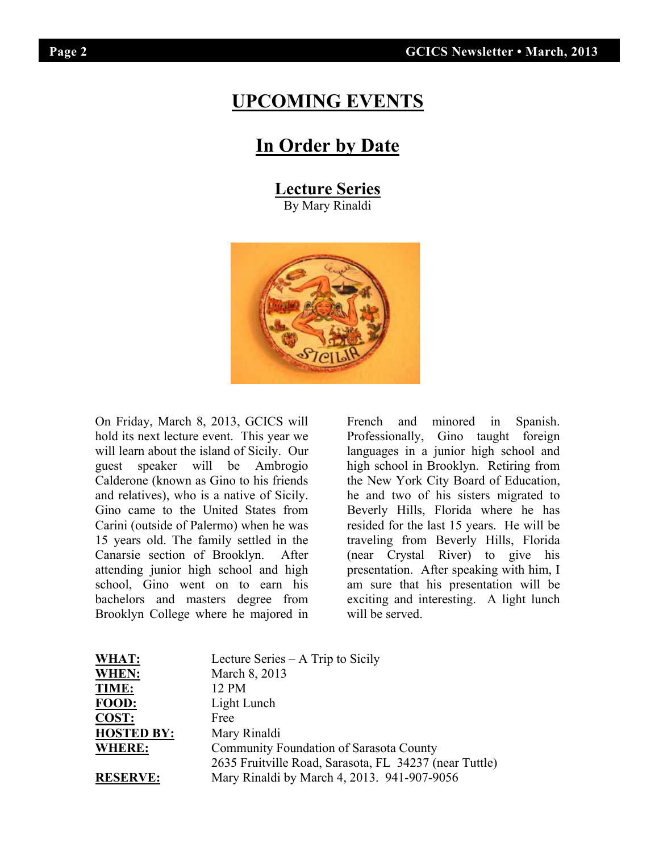## **UPCOMING EVENTS**

## **In Order by Date**

## **Lecture Series**

By Mary Rinaldi



On Friday, March 8, 2013, GCICS will hold its next lecture event. This year we will learn about the island of Sicily. Our guest speaker will be Ambrogio Calderone (known as Gino to his friends and relatives), who is a native of Sicily. Gino came to the United States from Carini (outside of Palermo) when he was 15 years old. The family settled in the Canarsie section of Brooklyn. After attending junior high school and high school, Gino went on to earn his bachelors and masters degree from Brooklyn College where he majored in

French and minored in Spanish. Professionally, Gino taught foreign languages in a junior high school and high school in Brooklyn. Retiring from the New York City Board of Education, he and two of his sisters migrated to Beverly Hills, Florida where he has resided for the last 15 years. He will be traveling from Beverly Hills, Florida (near Crystal River) to give his presentation. After speaking with him, I am sure that his presentation will be exciting and interesting. A light lunch will be served.

| WHAT:             | Lecture Series $- A$ Trip to Sicily                    |
|-------------------|--------------------------------------------------------|
| WHEN:             | March 8, 2013                                          |
| <b>TIME:</b>      | 12 PM                                                  |
| FOOD:             | Light Lunch                                            |
| COST:             | Free                                                   |
| <b>HOSTED BY:</b> | Mary Rinaldi                                           |
| <b>WHERE:</b>     | Community Foundation of Sarasota County                |
|                   | 2635 Fruitville Road, Sarasota, FL 34237 (near Tuttle) |
| <b>RESERVE:</b>   | Mary Rinaldi by March 4, 2013. 941-907-9056            |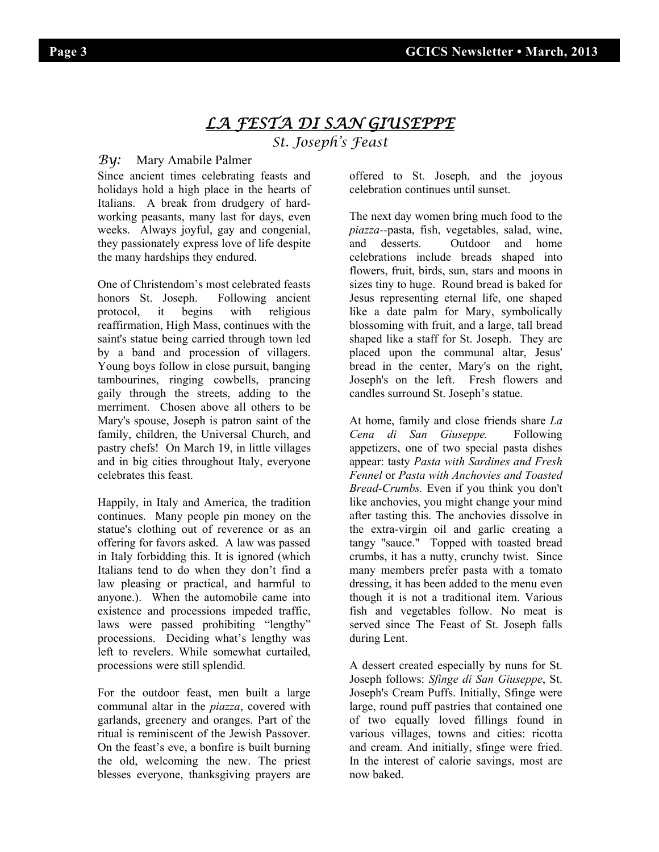## *LA FESTA DI SAN GIUSEPPE St. Joseph's Feast*

#### *By:* Mary Amabile Palmer

Since ancient times celebrating feasts and holidays hold a high place in the hearts of Italians. A break from drudgery of hardworking peasants, many last for days, even weeks. Always joyful, gay and congenial, they passionately express love of life despite the many hardships they endured.

One of Christendom's most celebrated feasts honors St. Joseph. Following ancient protocol, it begins with religious reaffirmation, High Mass, continues with the saint's statue being carried through town led by a band and procession of villagers. Young boys follow in close pursuit, banging tambourines, ringing cowbells, prancing gaily through the streets, adding to the merriment. Chosen above all others to be Mary's spouse, Joseph is patron saint of the family, children, the Universal Church, and pastry chefs! On March 19, in little villages and in big cities throughout Italy, everyone celebrates this feast.

Happily, in Italy and America, the tradition continues. Many people pin money on the statue's clothing out of reverence or as an offering for favors asked. A law was passed in Italy forbidding this. It is ignored (which Italians tend to do when they don't find a law pleasing or practical, and harmful to anyone.). When the automobile came into existence and processions impeded traffic, laws were passed prohibiting "lengthy" processions. Deciding what's lengthy was left to revelers. While somewhat curtailed, processions were still splendid.

For the outdoor feast, men built a large communal altar in the *piazza*, covered with garlands, greenery and oranges. Part of the ritual is reminiscent of the Jewish Passover. On the feast's eve, a bonfire is built burning the old, welcoming the new. The priest blesses everyone, thanksgiving prayers are

offered to St. Joseph, and the joyous celebration continues until sunset.

The next day women bring much food to the *piazza--*pasta, fish, vegetables, salad, wine, and desserts. Outdoor and home celebrations include breads shaped into flowers, fruit, birds, sun, stars and moons in sizes tiny to huge. Round bread is baked for Jesus representing eternal life, one shaped like a date palm for Mary, symbolically blossoming with fruit, and a large, tall bread shaped like a staff for St. Joseph. They are placed upon the communal altar, Jesus' bread in the center, Mary's on the right, Joseph's on the left. Fresh flowers and candles surround St. Joseph's statue.

At home, family and close friends share *La Cena di San Giuseppe.* Following appetizers, one of two special pasta dishes appear: tasty *Pasta with Sardines and Fresh Fennel* or *Pasta with Anchovies and Toasted Bread-Crumbs.* Even if you think you don't like anchovies, you might change your mind after tasting this. The anchovies dissolve in the extra-virgin oil and garlic creating a tangy "sauce." Topped with toasted bread crumbs, it has a nutty, crunchy twist. Since many members prefer pasta with a tomato dressing, it has been added to the menu even though it is not a traditional item. Various fish and vegetables follow. No meat is served since The Feast of St. Joseph falls during Lent.

A dessert created especially by nuns for St. Joseph follows: *Sfinge di San Giuseppe*, St. Joseph's Cream Puffs. Initially, Sfinge were large, round puff pastries that contained one of two equally loved fillings found in various villages, towns and cities: ricotta and cream. And initially, sfinge were fried. In the interest of calorie savings, most are now baked.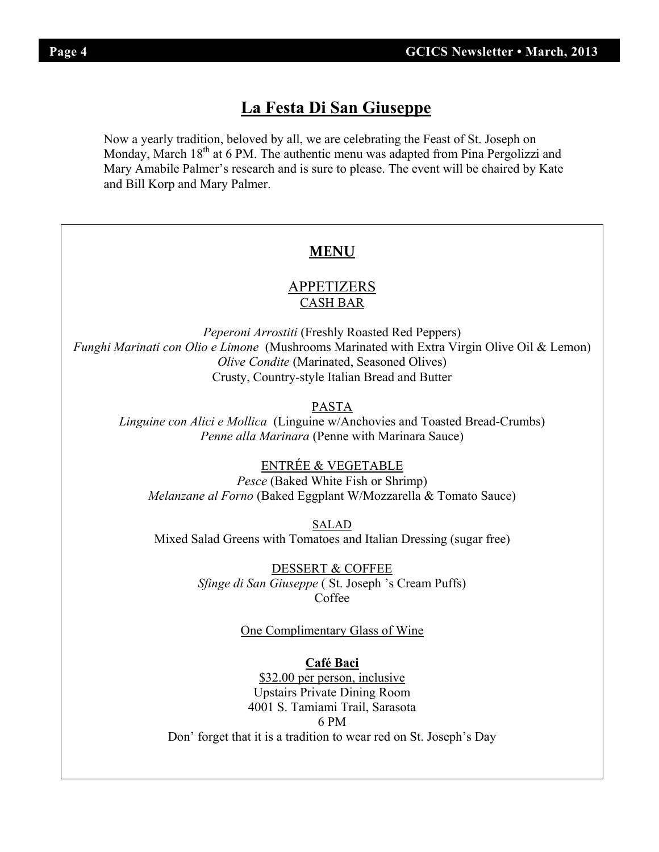## **La Festa Di San Giuseppe La Festa Di San Giuseppe**

Monday, March 18<sup>th</sup> at 6 PM. The authentic menu was adapted from Pina Pergolizzi and Mary Amabile Palmer's research and is sure to please. The event will be chaired by Kate and Bill Korp and Mary Palmer. Now a yearly tradition, beloved by all, we are celebrating the Feast of St. Joseph on

### **MENU**

## <u>APPETIZERS</u> CASH BAR

*Peperoni Arrostiti* (Freshly Roasted Red Peppers) **Funghi Marinated With Arror (Mushrooms Arror Oil & Lemone** Oil & Lemone Oil & Lemone Oil & Lemone Oil & Lemone Oil & Lemone Oil & Lemone Oil & Lemone Oil & Lemone Oil & L *Funghi Marinati con Olio e Limone* (Mushrooms Marinated with Extra Virgin Olive Oil & Lemon) *Olive Condite* (Marinated, Seasoned Olives) Crusty, Country-style Italian Bread and Butter

#### PASTA *Linguine con Alici e Mollica* (Linguine w/Anchovies and Toasted Bread-Crumbs)

*Linguine con Alici e Mollica* (Linguine w/Anchovies and Toasted Bread-Crumbs) *Penne alla Marinara* (Penne with Marinara Sauce)

#### <u>ENTRÉE & VEGETABLE</u> ENTRÉE & VEGETABLE

*Pesce* (Baked White Fish or Shrimp) *Melanzane al Forno* (Baked Eggplant W/Mozzarella & Tomato Sauce)

SALAD Mixed Salad Greens with Tomatoes and Italian Dressing (sugar free)  $SALAD$ 

> **DESSERT & COFFEE** *Sfinge di San Giuseppe* ( St. Joseph 's Cream Puffs) Coffee

#### One Complimentary Glass of Wine

**Café Baci** \$32.00 per person, inclusive Upstairs Private Dining Room 4001 S. Tamiami Trail, Sarasota 6 PM Don' forget that it is a tradition to wear red on St. Joseph's Day  $6 \text{ PM}$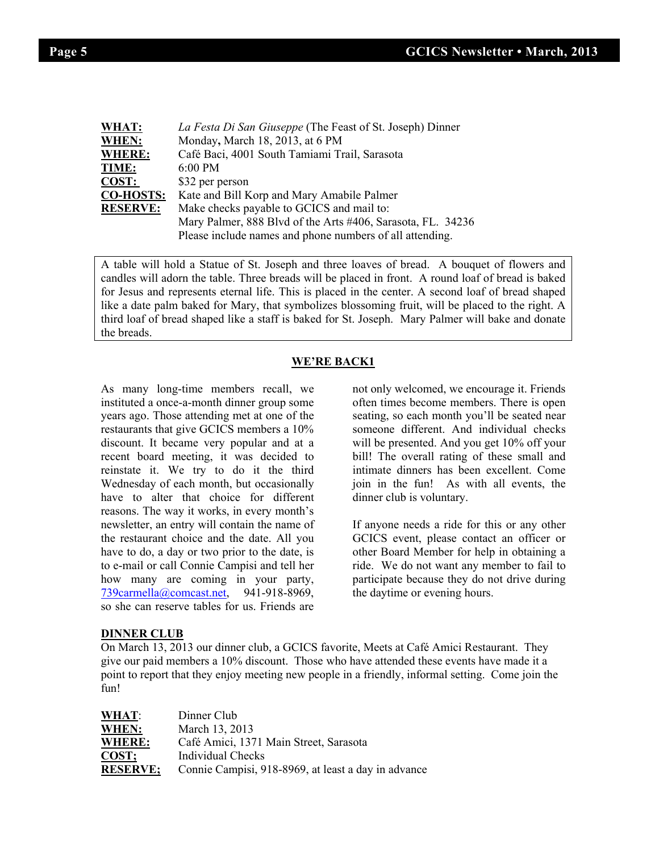| m |  |
|---|--|
|   |  |

I

| WHAT:            | La Festa Di San Giuseppe (The Feast of St. Joseph) Dinner   |  |  |  |
|------------------|-------------------------------------------------------------|--|--|--|
| WHEN:            | Monday, March 18, 2013, at 6 PM                             |  |  |  |
| <b>WHERE:</b>    | Café Baci, 4001 South Tamiami Trail, Sarasota               |  |  |  |
| TIME:            | $6:00$ PM                                                   |  |  |  |
| <b>COST:</b>     | \$32 per person                                             |  |  |  |
| <b>CO-HOSTS:</b> | Kate and Bill Korp and Mary Amabile Palmer                  |  |  |  |
| <b>RESERVE:</b>  | Make checks payable to GCICS and mail to:                   |  |  |  |
|                  | Mary Palmer, 888 Blvd of the Arts #406, Sarasota, FL. 34236 |  |  |  |
|                  | Please include names and phone numbers of all attending.    |  |  |  |

A table will hold a Statue of St. Joseph and three loaves of bread. A bouquet of flowers and candles will adorn the table. Three breads will be placed in front. A round loaf of bread is baked for Jesus and represents eternal life. This is placed in the center. A second loaf of bread shaped like a date palm baked for Mary, that symbolizes blossoming fruit, will be placed to the right. A third loaf of bread shaped like a staff is baked for St. Joseph. Mary Palmer will bake and donate the breads.

#### **WE'RE BACK1**

As many long-time members recall, we instituted a once-a-month dinner group some years ago. Those attending met at one of the restaurants that give GCICS members a 10% discount. It became very popular and at a recent board meeting, it was decided to reinstate it. We try to do it the third Wednesday of each month, but occasionally have to alter that choice for different reasons. The way it works, in every month's newsletter, an entry will contain the name of the restaurant choice and the date. All you have to do, a day or two prior to the date, is to e-mail or call Connie Campisi and tell her how many are coming in your party,<br>739carmella@comcast.net, 941-918-8969, 739carmella@comcast.net, so she can reserve tables for us. Friends are

not only welcomed, we encourage it. Friends often times become members. There is open seating, so each month you'll be seated near someone different. And individual checks will be presented. And you get 10% off your bill! The overall rating of these small and intimate dinners has been excellent. Come join in the fun! As with all events, the dinner club is voluntary.

If anyone needs a ride for this or any other GCICS event, please contact an officer or other Board Member for help in obtaining a ride. We do not want any member to fail to participate because they do not drive during the daytime or evening hours.

#### **DINNER CLUB**

On March 13, 2013 our dinner club, a GCICS favorite, Meets at Café Amici Restaurant. They give our paid members a 10% discount. Those who have attended these events have made it a point to report that they enjoy meeting new people in a friendly, informal setting. Come join the fun!

| <b>WHAT:</b>    | Dinner Club                                         |
|-----------------|-----------------------------------------------------|
| WHEN:           | March 13, 2013                                      |
| WHERE:          | Café Amici, 1371 Main Street, Sarasota              |
| COST;           | Individual Checks                                   |
| <b>RESERVE;</b> | Connie Campisi, 918-8969, at least a day in advance |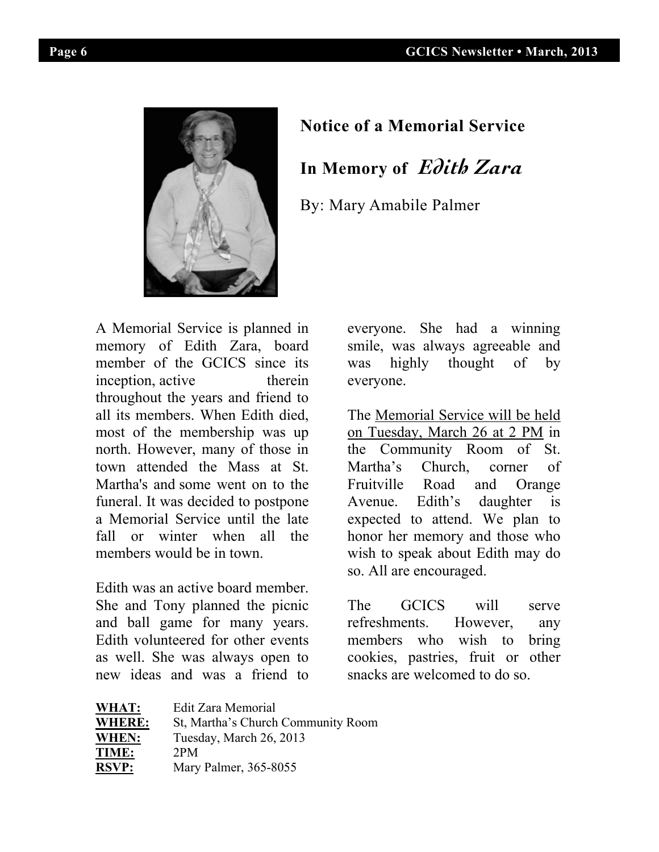I



## **By:** Mary Amabile Palmer **In Memory of** *Edith Zara*

By: Mary Amabile Palmer

A Memorial Service is planned in memory of Edith Zara, board member of the GCICS since its inception, active therein throughout the years and friend to throughout the years and friend to<br>all its members. When Edith died, Th most of the membership was up north. However, many of those in town attended the Mass at St. what allended the mass at St.<br>Martha's and some went on to the funeral. It was decided to postpone a Memorial Service until the late fall or winter when all the members would be in town.

Edith was an active board member. Equin was an active board member.<br>She and Tony planned the picnic and ball game for many years. Edith volunteered for other events as well. She was always open to new ideas and was a friend to funeral. It was decided to postpone

everyone. She had a winning everyone. She had a winning smile, was always agreeable and was highly thought of by erein everyone. smile, was always agreeable and<br>interesting the angle and the smile and the smile and the smile and the smile and the smile and the smile and t

The Memorial Service will be held on Tuesday, March 26 at 2 PM in se in the Community Room of St. Martha's Church, corner of I St. Martina's Church, Comer of<br>othe Fruitville Road and Orange the Edith's daughter is expected to attend. We plan to<br>the heaven between and these who honor her memory and those who wish to speak about Edith may do so. All are encouraged.

The GCICS will serve refreshments. However, any her memory and the memory and the memory and those who has a series who has a series who has a series who has a series who has a series who has a series who has a series who has a series who has vents members who wish to bring cookies, pastries, fruit or other  $\frac{1}{10}$  to cookies, pasures,  $\frac{1}{10}$  or  $\frac{1}{10}$  to snacks are welcomed to do so. moer.<br>vienie The GCICS will serve

| WHAT:         | Edit Zara Memorial                 |
|---------------|------------------------------------|
| <b>WHERE:</b> | St, Martha's Church Community Room |
| WHEN:         | Tuesday, March 26, 2013            |
| TIME:         | 2PM                                |
| <b>RSVP:</b>  | Mary Palmer, 365-8055              |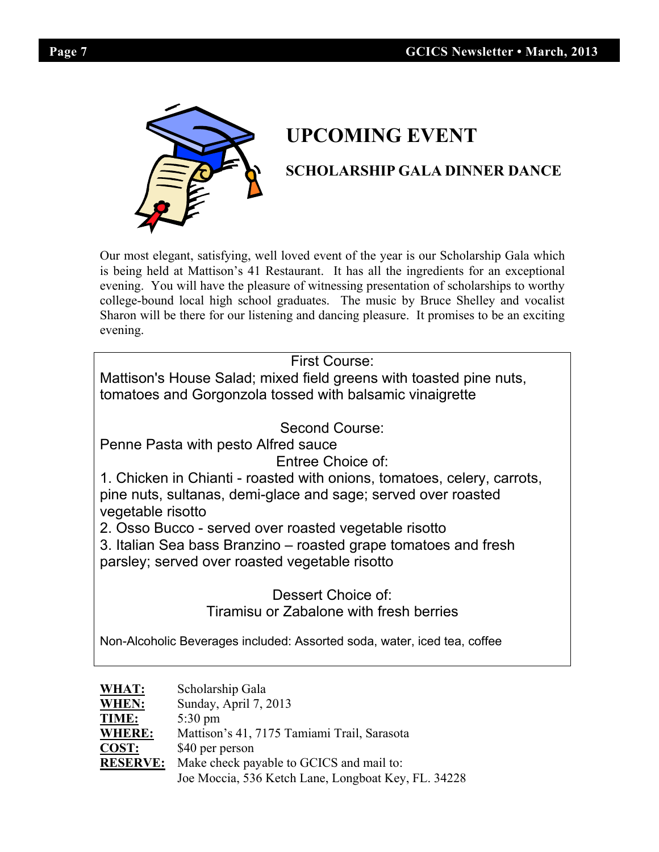

# **SCHOLARSHIP COMING EVENT**

## **SCHOLARSHIP GALA DINNER DANCE**

Our most elegant, satisfying, well loved event of the year is our Scholarship Gala which is being held at Mattison's 41 Restaurant. It has all the ingredients for an exceptional is being held at Mattison's 41 Restaurant. It has all the ingredients for an exceptional evening. You will have the pleasure of witnessing presentation of scholarships to worthy college-bound local high school graduates. The music by Bruce Shelley and vocalist<br>Sharon will be there for our listening and dancing pleasure. It promises to be an exciting Sharon will be there for our listening and dancing pleasure. It promises to be an exciting evening. evening.  $y = y$  with the pleasure of  $y = y + 1$  with the pleasure of scholarships to word scholarships to word scholarships to word scholarships to word scholarships to word scholarships to word scholarships to word scholars

First Course: college-bound local high school graduates. The music by Bruce Shelley and vocalist by Bruce Shelley and vocalist by Bruce Shelley and vocalist by Bruce Shelley and vocalist by Bruce Shelley and vocalist by Bruce Shelley an

| Mattison's House Salad; mixed field greens with toasted pine nuts,<br>| tomatoes and Gorgonzola tossed with balsamic vinaigrette tomatoes and Gorgonzola tossed with balsamic vinaigrette

Second Course:

Penne Pasta with pesto Alfred sauce

Entree Choice of:

Entree Choice of:<br>1. Chicken in Chianti - roasted with onions, tomatoes, celery, carrots, pine nuts, sultanas, demi-glace and sage; served over roasted Mattison's House Salad; mixed field greens with toasted pine nuts, vegetable risotto

12. Osso Bucco - served over roasted vegetable risotto

3. Italian Sea bass Branzino – roasted grape tomatoes and fresh parsley; served over roasted vegetable risotto

Dessert Choice of: Tiramisu or Zabalone with fresh berries Penne Pasta With personal personal personal personal personal personal personal personal personal personal per<br>Personal personal personal personal personal personal personal personal personal personal personal personal pe

Non-Alcoholic Beverages included: Assorted soda, water, iced tea, coffee

| WHAT:           | Scholarship Gala                                    |
|-----------------|-----------------------------------------------------|
| WHEN:           | Sunday, April 7, 2013                               |
| <b>TIME:</b>    | $5:30 \text{ pm}$                                   |
| <b>WHERE:</b>   | Mattison's 41, 7175 Tamiami Trail, Sarasota         |
| $COST:$         | \$40 per person                                     |
| <b>RESERVE:</b> | Make check payable to GCICS and mail to:            |
|                 | Joe Moccia, 536 Ketch Lane, Longboat Key, FL. 34228 |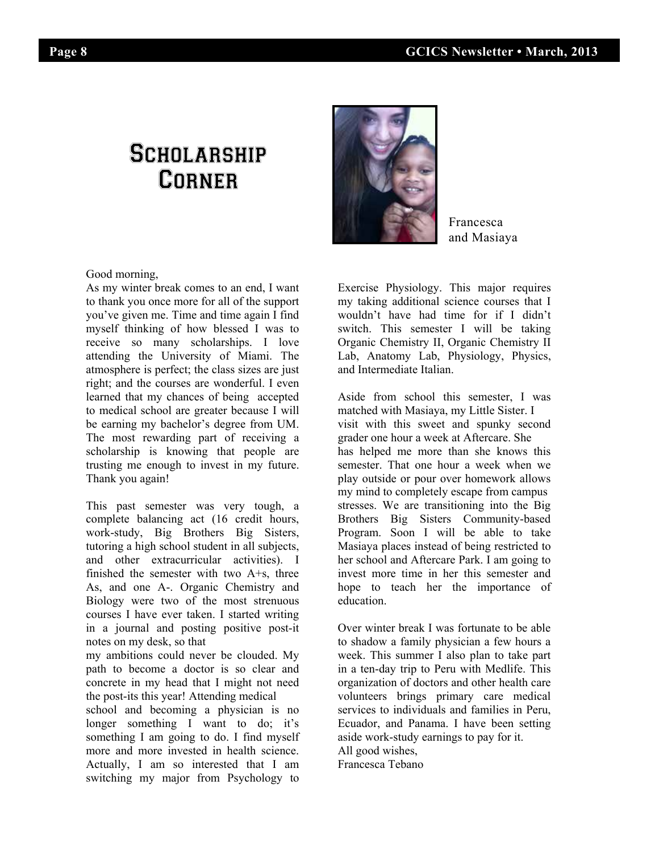## **SCHOLARSHIP CORNER**



Francesca and Masiaya

Good morning, Good morning,

As my winter break comes to an end, I want As my winter break comes to an end, I want to thank you once more for all of the support to thank you once more for all of the support you've given me. Time and time again I find you've given me. Time and time again I find myself thinking of how blessed I was to myself thinking of how blessed I was to receive so many scholarships. I love attending the University of Miami. The attending the University of Miami. The atmosphere is perfect; the class sizes are just atmosphere is perfect; the class sizes are just right; and the courses are wonderful. I even right; and the courses are wonderful. I even rearned that my entires of being accepted<br>to medical school are greater because I will to measure school are greater because I will The most rewarding part of receiving a  $scholarship$  is knowing that people are trusting me enough to invest in my future. Thank you again!

This past semester was very tough, a  $\text{complete balancing act } (16 \text{ credit hours}, \dots)$ work-study,  $Big$  Big Brothers Big Sisters, tutoring a high school student in all subjects,  $\mu$ and other extracurricular activities). I finished the semester with two  $A + s$ , three As, and one A-. Organic Chemistry and Biology were two of the most strenuous courses I have ever taken. I started writing in a journal and posting positive post-it notes on my desk, so that

my ambitions could never be clouded. My path to become a doctor is so clear and concrete in my head that  $\overline{I}$  might not need the post-its this year! Attending medical

In the post-its this year! Attending medical<br>school and becoming a physician is no school and occouning a physician is no<br>longer something I want to do; it's something I am going to do. I find myself more and more invested in health science. Actually, I am so interested that I am switching my major from Psychology to

Exercise Physiology. This major requires Exercise Physiology. This major requires my taking additional science courses that I my taking additional science courses that I wouldn't have had time for if I didn't wouldn't have had time for if I didn't switch. This semester I will be taking switch. This semester I will be taking Organic Chemistry II, Organic Chemistry II Organic Chemistry II, Organic Chemistry II Lab, Anatomy Lab, Physiology, Physics, Lab, Anatomy Lab, Physiology, Physics, and Intermediate Italian. and Intermediate Italian.

Aside from school this semester, I was Aside Hom school this semester, I was<br>matched with Masiaya, my Little Sister. I wisit with this sweet and spunky second grader one hour a week at Aftercare. She has helped me more than she knows this semester. That one hour a week when we play outside or pour over homework allows my mind to completely escape from campus stresses. We are transitioning into the Big Brothers Big Sisters Community-based Program. Soon I will be able to take Masiaya places instead of being restricted to wiasiaya piaces instead of being restricted to<br>her school and Aftercare Park. I am going to invest more time in her this semester and hope to teach her the importance of education.  $\lim_{n\to\infty}$ 

Over winter break I was fortunate to be able to shadow a family physician a few hours a week. This summer I also plan to take part in a ten-day trip to Peru with Medlife. This organization of doctors and other health care volunteers brings primary care medical volumeers brings primary care medical<br>services to individuals and families in Peru, Ecuador, and Panama. I have been setting  $\alpha$  aside work-study earnings to pay for it.  $\frac{1}{2}$  and  $\frac{1}{2}$  individuals and  $\frac{1}{2}$  is  $\frac{1}{2}$  in  $\frac{1}{2}$  in Peru,  $\frac{1}{2}$  is  $\frac{1}{2}$  in  $\frac{1}{2}$ Francesca Tebano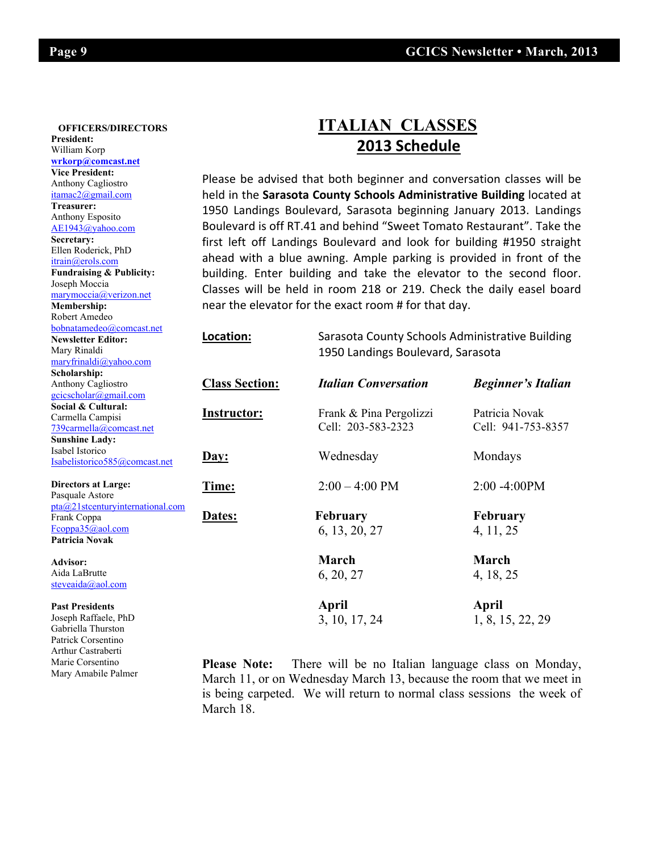#### William Korp  **OFFICERS/DIRECTORS President: wrkorp@comcast.net Vice President:** Anthony Cagliostro itamac2@gmail.com **Treasurer:**  Anthony Esposito AE1943@yahoo.com **Secretary:**  Ellen Roderick, PhD itrain@erols.com **Fundraising & Publicity:**  Joseph Moccia marymoccia@verizon.net **Membership:** Robert Amedeo bobnatamedeo@comcast.net **Newsletter Editor:** Mary Rinaldi maryfrinaldi@yahoo.com **Scholarship:** Anthony Cagliostro gcicscholar@gmail.com **Social & Cultural:** Carmella Campisi 739carmella@comcast.net **Sunshine Lady:**  Isabel Istorico Isabelistorico585@comcast.net

**Past Presidents** Joseph Raffaele, PhD Gabriella Thurston Patrick Corsentino Arthur Castraberti Marie Corsentino Mary Amabile Palmer

## **ITALIAN CLASSES 2013 Schedule**

Please be advised that both beginner and conversation classes will be held in the **Sarasota County Schools Administrative Building** located at 1950 Landings Boulevard, Sarasota beginning January 2013. Landings Boulevard is off RT.41 and behind "Sweet Tomato Restaurant". Take the first left off Landings Boulevard and look for building #1950 straight ahead with a blue awning. Ample parking is provided in front of the building. Enter building and take the elevator to the second floor. Classes will be held in room 218 or 219. Check the daily easel board near the elevator for the exact room # for that day.

| 000110001110000100,001110000.1100<br><b>Newsletter Editor:</b> | Location:<br>Sarasota County Schools Administrative Building |                                   |                           |
|----------------------------------------------------------------|--------------------------------------------------------------|-----------------------------------|---------------------------|
| Mary Rinaldi                                                   |                                                              | 1950 Landings Boulevard, Sarasota |                           |
| maryfrinaldi@yahoo.com                                         |                                                              |                                   |                           |
| Scholarship:                                                   |                                                              |                                   |                           |
| Anthony Cagliostro                                             | <b>Class Section:</b>                                        | <b>Italian Conversation</b>       | <b>Beginner's Italian</b> |
| gcicscholar@gmail.com                                          |                                                              |                                   |                           |
| Social & Cultural:                                             |                                                              |                                   | Patricia Novak            |
| Carmella Campisi                                               | Instructor:                                                  | Frank & Pina Pergolizzi           |                           |
| 739carmella@comcast.net                                        |                                                              | Cell: 203-583-2323                | Cell: 941-753-8357        |
| <b>Sunshine Ladv:</b>                                          |                                                              |                                   |                           |
| Isabel Istorico                                                | Day:                                                         | Wednesday                         | Mondays                   |
| Isabelistorico585@comcast.net                                  |                                                              |                                   |                           |
| <b>Directors at Large:</b>                                     | Time:                                                        | $2:00 - 4:00 \text{ PM}$          | $2:00 - 4:00 PM$          |
| Pasquale Astore                                                |                                                              |                                   |                           |
| pta@21stcenturyinternational.com                               |                                                              |                                   |                           |
| Frank Coppa                                                    | Dates:                                                       | <b>February</b>                   | <b>February</b>           |
| $F_{\rm{coppa35}}(a)$ aol.com                                  |                                                              | 6, 13, 20, 27                     | 4, 11, 25                 |
| Patricia Novak                                                 |                                                              |                                   |                           |
| Advisor:                                                       |                                                              | March                             | March                     |
| Aida LaBrutte                                                  |                                                              | 6, 20, 27                         | 4, 18, 25                 |
| steveaida@aol.com                                              |                                                              |                                   |                           |
| <b>Past Presidents</b>                                         |                                                              | April                             | April                     |
| Joseph Raffaele, PhD                                           |                                                              | 3, 10, 17, 24                     | 1, 8, 15, 22, 29          |
| Gabriella Thurston                                             |                                                              |                                   |                           |
|                                                                |                                                              |                                   |                           |

**Please Note:** There will be no Italian language class on Monday, March 11, or on Wednesday March 13, because the room that we meet in is being carpeted. We will return to normal class sessions the week of March 18.